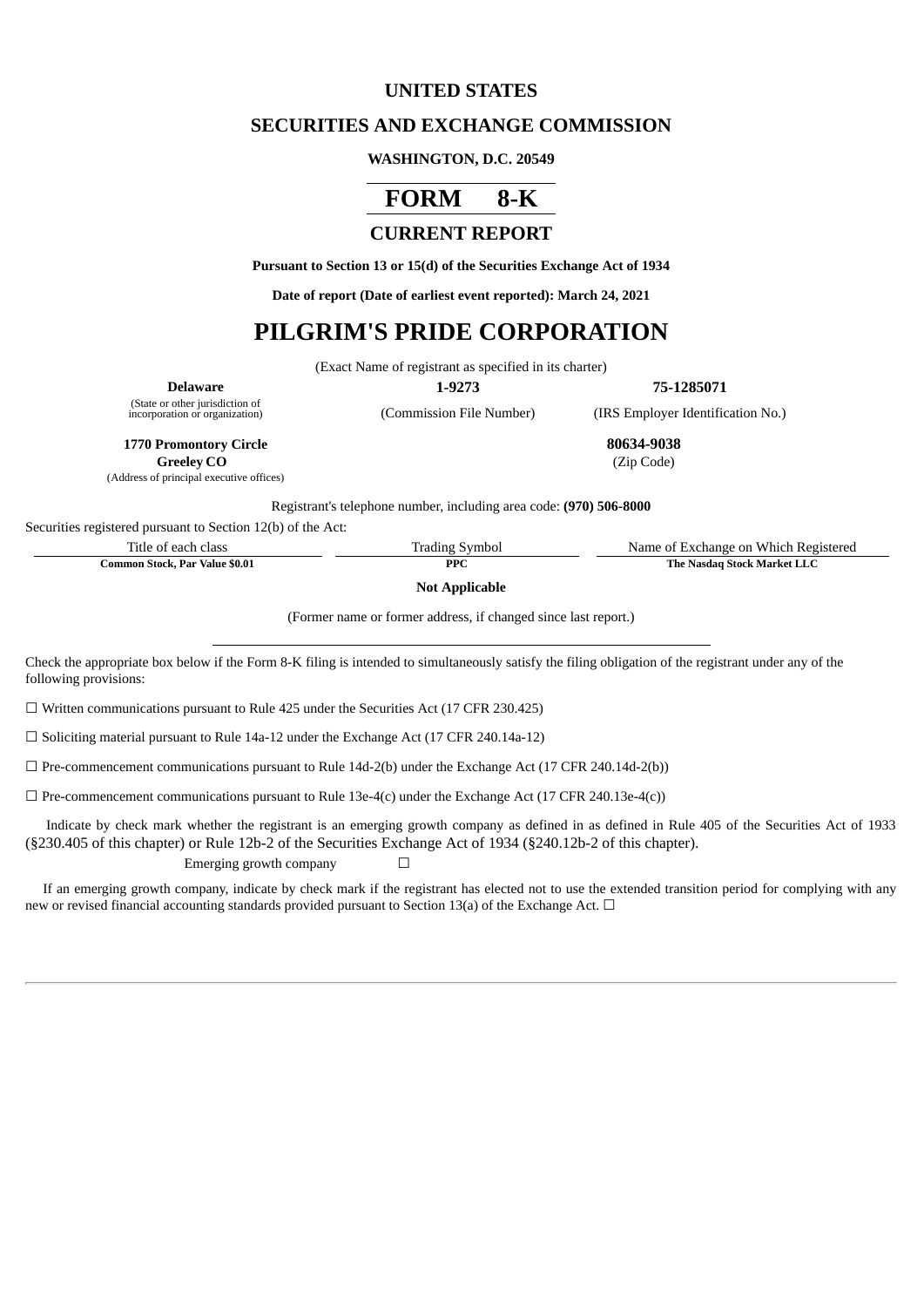## **UNITED STATES**

### **SECURITIES AND EXCHANGE COMMISSION**

#### **WASHINGTON, D.C. 20549**

# **FORM 8-K**

# **CURRENT REPORT**

**Pursuant to Section 13 or 15(d) of the Securities Exchange Act of 1934**

**Date of report (Date of earliest event reported): March 24, 2021**

# **PILGRIM'S PRIDE CORPORATION**

(Exact Name of registrant as specified in its charter)

**Delaware 1-9273 75-1285071**

(State or other jurisdiction of

(Address of principal executive offices)

(Commission File Number) (IRS Employer Identification No.)

**1770 Promontory Circle 80634-9038**

**Greeley CO** (Zip Code)

Registrant's telephone number, including area code: **(970) 506-8000**

Securities registered pursuant to Section 12(b) of the Act:

Title of each class Trading Symbol Name of Exchange on Which Registered **Common Stock, Par Value \$0.01 PPC PPC The Nasdaq Stock Market LLC** 

**Not Applicable**

(Former name or former address, if changed since last report.)

Check the appropriate box below if the Form 8-K filing is intended to simultaneously satisfy the filing obligation of the registrant under any of the following provisions:

 $\Box$  Written communications pursuant to Rule 425 under the Securities Act (17 CFR 230.425)

☐ Soliciting material pursuant to Rule 14a-12 under the Exchange Act (17 CFR 240.14a-12)

 $\Box$  Pre-commencement communications pursuant to Rule 14d-2(b) under the Exchange Act (17 CFR 240.14d-2(b))

 $\Box$  Pre-commencement communications pursuant to Rule 13e-4(c) under the Exchange Act (17 CFR 240.13e-4(c))

Indicate by check mark whether the registrant is an emerging growth company as defined in as defined in Rule 405 of the Securities Act of 1933 (§230.405 of this chapter) or Rule 12b-2 of the Securities Exchange Act of 1934 (§240.12b-2 of this chapter).

Emerging growth company  $\Box$ 

If an emerging growth company, indicate by check mark if the registrant has elected not to use the extended transition period for complying with any new or revised financial accounting standards provided pursuant to Section 13(a) of the Exchange Act. □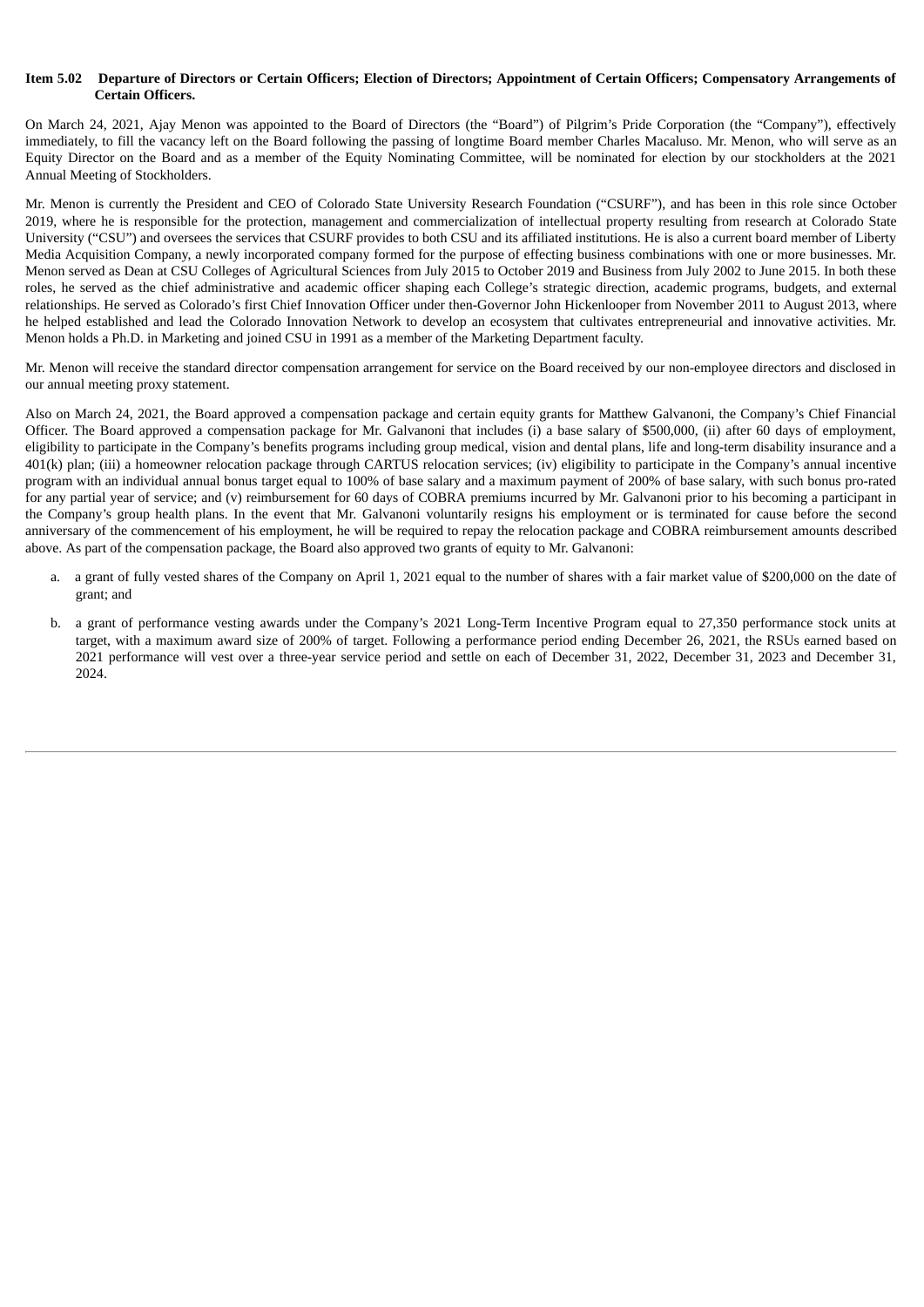#### Item 5.02 Departure of Directors or Certain Officers; Election of Directors; Appointment of Certain Officers; Compensatory Arrangements of **Certain Officers.**

On March 24, 2021, Ajay Menon was appointed to the Board of Directors (the "Board") of Pilgrim's Pride Corporation (the "Company"), effectively immediately, to fill the vacancy left on the Board following the passing of longtime Board member Charles Macaluso. Mr. Menon, who will serve as an Equity Director on the Board and as a member of the Equity Nominating Committee, will be nominated for election by our stockholders at the 2021 Annual Meeting of Stockholders.

Mr. Menon is currently the President and CEO of Colorado State University Research Foundation ("CSURF"), and has been in this role since October 2019, where he is responsible for the protection, management and commercialization of intellectual property resulting from research at Colorado State University ("CSU") and oversees the services that CSURF provides to both CSU and its affiliated institutions. He is also a current board member of Liberty Media Acquisition Company, a newly incorporated company formed for the purpose of effecting business combinations with one or more businesses. Mr. Menon served as Dean at CSU Colleges of Agricultural Sciences from July 2015 to October 2019 and Business from July 2002 to June 2015. In both these roles, he served as the chief administrative and academic officer shaping each College's strategic direction, academic programs, budgets, and external relationships. He served as Colorado's first Chief Innovation Officer under then-Governor John Hickenlooper from November 2011 to August 2013, where he helped established and lead the Colorado Innovation Network to develop an ecosystem that cultivates entrepreneurial and innovative activities. Mr. Menon holds a Ph.D. in Marketing and joined CSU in 1991 as a member of the Marketing Department faculty.

Mr. Menon will receive the standard director compensation arrangement for service on the Board received by our non-employee directors and disclosed in our annual meeting proxy statement.

Also on March 24, 2021, the Board approved a compensation package and certain equity grants for Matthew Galvanoni, the Company's Chief Financial Officer. The Board approved a compensation package for Mr. Galvanoni that includes (i) a base salary of \$500,000, (ii) after 60 days of employment, eligibility to participate in the Company's benefits programs including group medical, vision and dental plans, life and long-term disability insurance and a 401(k) plan; (iii) a homeowner relocation package through CARTUS relocation services; (iv) eligibility to participate in the Company's annual incentive program with an individual annual bonus target equal to 100% of base salary and a maximum payment of 200% of base salary, with such bonus pro-rated for any partial year of service; and (v) reimbursement for 60 days of COBRA premiums incurred by Mr. Galvanoni prior to his becoming a participant in the Company's group health plans. In the event that Mr. Galvanoni voluntarily resigns his employment or is terminated for cause before the second anniversary of the commencement of his employment, he will be required to repay the relocation package and COBRA reimbursement amounts described above. As part of the compensation package, the Board also approved two grants of equity to Mr. Galvanoni:

- a. a grant of fully vested shares of the Company on April 1, 2021 equal to the number of shares with a fair market value of \$200,000 on the date of grant; and
- b. a grant of performance vesting awards under the Company's 2021 Long-Term Incentive Program equal to 27,350 performance stock units at target, with a maximum award size of 200% of target. Following a performance period ending December 26, 2021, the RSUs earned based on 2021 performance will vest over a three-year service period and settle on each of December 31, 2022, December 31, 2023 and December 31, 2024.